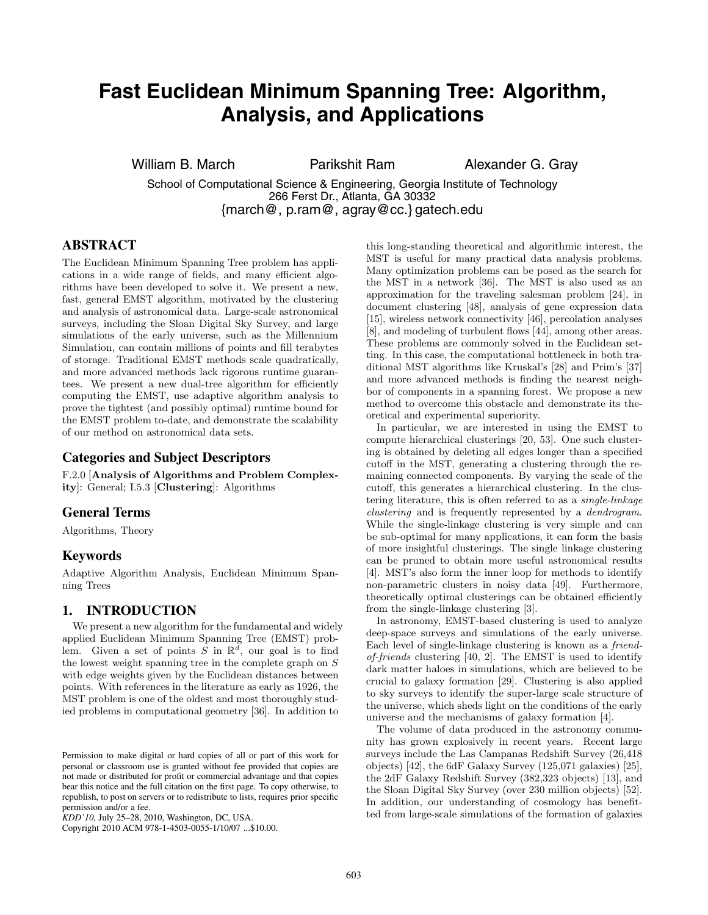# **Fast Euclidean Minimum Spanning Tree: Algorithm, Analysis, and Applications**

William B. March **Parikshit Ram Alexander G. Gray** 

School of Computational Science & Engineering, Georgia Institute of Technology 266 Ferst Dr., Atlanta, GA 30332 {march@, p.ram@, agray@cc.} gatech.edu

# **ABSTRACT**

The Euclidean Minimum Spanning Tree problem has applications in a wide range of fields, and many efficient algorithms have been developed to solve it. We present a new, fast, general EMST algorithm, motivated by the clustering and analysis of astronomical data. Large-scale astronomical surveys, including the Sloan Digital Sky Survey, and large simulations of the early universe, such as the Millennium Simulation, can contain millions of points and fill terabytes of storage. Traditional EMST methods scale quadratically, and more advanced methods lack rigorous runtime guarantees. We present a new dual-tree algorithm for efficiently computing the EMST, use adaptive algorithm analysis to prove the tightest (and possibly optimal) runtime bound for the EMST problem to-date, and demonstrate the scalability of our method on astronomical data sets.

# **Categories and Subject Descriptors**

F.2.0 [**Analysis of Algorithms and Problem Complexity**]: General; I.5.3 [**Clustering**]: Algorithms

# **General Terms**

Algorithms, Theory

#### **Keywords**

Adaptive Algorithm Analysis, Euclidean Minimum Spanning Trees

# **1. INTRODUCTION**

We present a new algorithm for the fundamental and widely applied Euclidean Minimum Spanning Tree (EMST) problem. Given a set of points S in  $\mathbb{R}^d$ , our goal is to find the lowest weight spanning tree in the complete graph on  ${\cal S}$ with edge weights given by the Euclidean distances between points. With references in the literature as early as 1926, the MST problem is one of the oldest and most thoroughly studied problems in computational geometry [36]. In addition to

Copyright 2010 ACM 978-1-4503-0055-1/10/07 ...\$10.00.

this long-standing theoretical and algorithmic interest, the MST is useful for many practical data analysis problems. Many optimization problems can be posed as the search for the MST in a network [36]. The MST is also used as an approximation for the traveling salesman problem [24], in document clustering [48], analysis of gene expression data [15], wireless network connectivity [46], percolation analyses [8], and modeling of turbulent flows [44], among other areas. These problems are commonly solved in the Euclidean setting. In this case, the computational bottleneck in both traditional MST algorithms like Kruskal's [28] and Prim's [37] and more advanced methods is finding the nearest neighbor of components in a spanning forest. We propose a new method to overcome this obstacle and demonstrate its theoretical and experimental superiority.

In particular, we are interested in using the EMST to compute hierarchical clusterings [20, 53]. One such clustering is obtained by deleting all edges longer than a specified cutoff in the MST, generating a clustering through the remaining connected components. By varying the scale of the cutoff, this generates a hierarchical clustering. In the clustering literature, this is often referred to as a *single-linkage clustering* and is frequently represented by a *dendrogram*. While the single-linkage clustering is very simple and can be sub-optimal for many applications, it can form the basis of more insightful clusterings. The single linkage clustering can be pruned to obtain more useful astronomical results [4]. MST's also form the inner loop for methods to identify non-parametric clusters in noisy data [49]. Furthermore, theoretically optimal clusterings can be obtained efficiently from the single-linkage clustering [3].

In astronomy, EMST-based clustering is used to analyze deep-space surveys and simulations of the early universe. Each level of single-linkage clustering is known as a *friendof-friends* clustering [40, 2]. The EMST is used to identify dark matter haloes in simulations, which are believed to be crucial to galaxy formation [29]. Clustering is also applied to sky surveys to identify the super-large scale structure of the universe, which sheds light on the conditions of the early universe and the mechanisms of galaxy formation [4].

The volume of data produced in the astronomy community has grown explosively in recent years. Recent large surveys include the Las Campanas Redshift Survey (26,418 objects) [42], the 6dF Galaxy Survey (125,071 galaxies) [25], the 2dF Galaxy Redshift Survey (382,323 objects) [13], and the Sloan Digital Sky Survey (over 230 million objects) [52]. In addition, our understanding of cosmology has benefitted from large-scale simulations of the formation of galaxies

Permission to make digital or hard copies of all or part of this work for personal or classroom use is granted without fee provided that copies are not made or distributed for profit or commercial advantage and that copies bear this notice and the full citation on the first page. To copy otherwise, to republish, to post on servers or to redistribute to lists, requires prior specific permission and/or a fee.

*KDD'10,* July 25–28, 2010, Washington, DC, USA.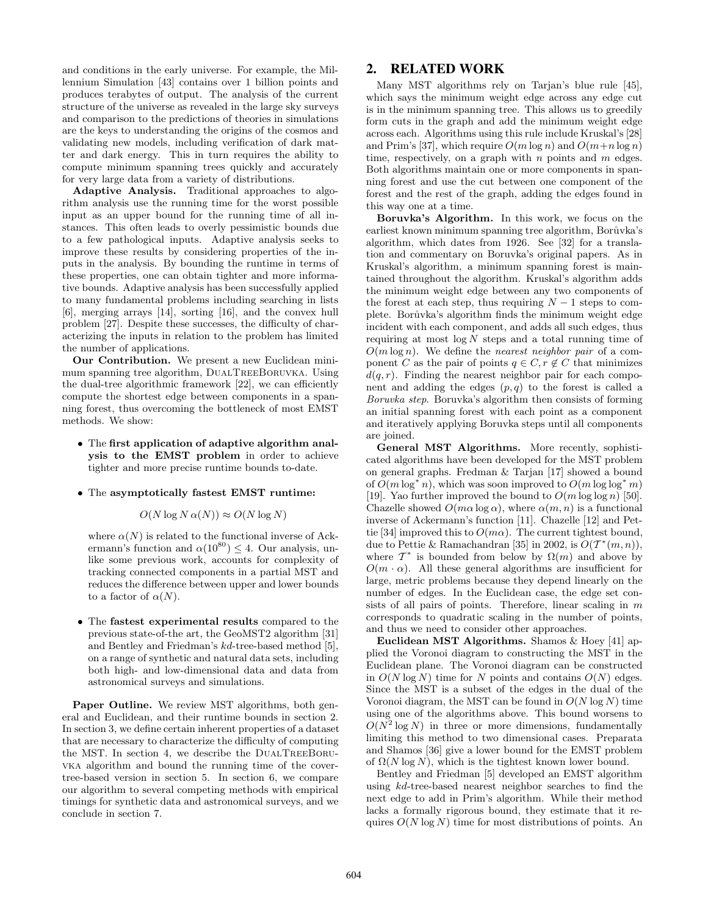and conditions in the early universe. For example, the Millennium Simulation [43] contains over 1 billion points and produces terabytes of output. The analysis of the current structure of the universe as revealed in the large sky surveys and comparison to the predictions of theories in simulations are the keys to understanding the origins of the cosmos and validating new models, including verification of dark matter and dark energy. This in turn requires the ability to compute minimum spanning trees quickly and accurately for very large data from a variety of distributions.

**Adaptive Analysis.** Traditional approaches to algorithm analysis use the running time for the worst possible input as an upper bound for the running time of all instances. This often leads to overly pessimistic bounds due to a few pathological inputs. Adaptive analysis seeks to improve these results by considering properties of the inputs in the analysis. By bounding the runtime in terms of these properties, one can obtain tighter and more informative bounds. Adaptive analysis has been successfully applied to many fundamental problems including searching in lists [6], merging arrays [14], sorting [16], and the convex hull problem [27]. Despite these successes, the difficulty of characterizing the inputs in relation to the problem has limited the number of applications.

**Our Contribution.** We present a new Euclidean minimum spanning tree algorithm, DUALTREEBORUVKA. Using the dual-tree algorithmic framework [22], we can efficiently compute the shortest edge between components in a spanning forest, thus overcoming the bottleneck of most EMST methods. We show:

- The **first application of adaptive algorithm analysis to the EMST problem** in order to achieve tighter and more precise runtime bounds to-date.
- The **asymptotically fastest EMST runtime:**

#### $O(N \log N \alpha(N)) \approx O(N \log N)$

where  $\alpha(N)$  is related to the functional inverse of Ackermann's function and  $\alpha(10^{80}) \leq 4$ . Our analysis, unlike some previous work, accounts for complexity of tracking connected components in a partial MST and reduces the difference between upper and lower bounds to a factor of  $\alpha(N)$ .

• The **fastest experimental results** compared to the previous state-of-the art, the GeoMST2 algorithm [31] and Bentley and Friedman's kd-tree-based method [5], on a range of synthetic and natural data sets, including both high- and low-dimensional data and data from astronomical surveys and simulations.

**Paper Outline.** We review MST algorithms, both general and Euclidean, and their runtime bounds in section 2. In section 3, we define certain inherent properties of a dataset that are necessary to characterize the difficulty of computing the MST. In section 4, we describe the DualTreeBoruvka algorithm and bound the running time of the covertree-based version in section 5. In section 6, we compare our algorithm to several competing methods with empirical timings for synthetic data and astronomical surveys, and we conclude in section 7.

## **2. RELATED WORK**

Many MST algorithms rely on Tarjan's blue rule [45], which says the minimum weight edge across any edge cut is in the minimum spanning tree. This allows us to greedily form cuts in the graph and add the minimum weight edge across each. Algorithms using this rule include Kruskal's [28] and Prim's [37], which require  $O(m \log n)$  and  $O(m+n \log n)$ time, respectively, on a graph with  $n$  points and  $m$  edges. Both algorithms maintain one or more components in spanning forest and use the cut between one component of the forest and the rest of the graph, adding the edges found in this way one at a time.

**Boruvka's Algorithm.** In this work, we focus on the earliest known minimum spanning tree algorithm, Borůvka's algorithm, which dates from 1926. See [32] for a translation and commentary on Boruvka's original papers. As in Kruskal's algorithm, a minimum spanning forest is maintained throughout the algorithm. Kruskal's algorithm adds the minimum weight edge between any two components of the forest at each step, thus requiring  $N-1$  steps to complete. Borůvka's algorithm finds the minimum weight edge incident with each component, and adds all such edges, thus requiring at most  $log N$  steps and a total running time of  $O(m \log n)$ . We define the *nearest neighbor pair* of a component C as the pair of points  $q \in C, r \notin C$  that minimizes  $d(q, r)$ . Finding the nearest neighbor pair for each component and adding the edges  $(p, q)$  to the forest is called a *Boruvka step*. Boruvka's algorithm then consists of forming an initial spanning forest with each point as a component and iteratively applying Boruvka steps until all components are joined.

**General MST Algorithms.** More recently, sophisticated algorithms have been developed for the MST problem on general graphs. Fredman & Tarjan [17] showed a bound of  $O(m \log^* n)$ , which was soon improved to  $O(m \log \log^* m)$ [19]. Yao further improved the bound to  $O(m \log \log n)$  [50]. Chazelle showed  $O(m\alpha \log \alpha)$ , where  $\alpha(m, n)$  is a functional inverse of Ackermann's function [11]. Chazelle [12] and Pettie [34] improved this to  $O(m\alpha)$ . The current tightest bound, due to Pettie & Ramachandran [35] in 2002, is  $O(T^*(m, n)),$ where  $\mathcal{T}^*$  is bounded from below by  $\Omega(m)$  and above by  $O(m \cdot \alpha)$ . All these general algorithms are insufficient for large, metric problems because they depend linearly on the number of edges. In the Euclidean case, the edge set consists of all pairs of points. Therefore, linear scaling in  $m$ corresponds to quadratic scaling in the number of points, and thus we need to consider other approaches.

**Euclidean MST Algorithms.** Shamos & Hoey [41] applied the Voronoi diagram to constructing the MST in the Euclidean plane. The Voronoi diagram can be constructed in  $O(N \log N)$  time for N points and contains  $O(N)$  edges. Since the MST is a subset of the edges in the dual of the Voronoi diagram, the MST can be found in  $O(N \log N)$  time using one of the algorithms above. This bound worsens to  $O(N^2 \log N)$  in three or more dimensions, fundamentally limiting this method to two dimensional cases. Preparata and Shamos [36] give a lower bound for the EMST problem of  $\Omega(N \log N)$ , which is the tightest known lower bound.

Bentley and Friedman [5] developed an EMST algorithm using kd-tree-based nearest neighbor searches to find the next edge to add in Prim's algorithm. While their method lacks a formally rigorous bound, they estimate that it requires  $O(N \log N)$  time for most distributions of points. An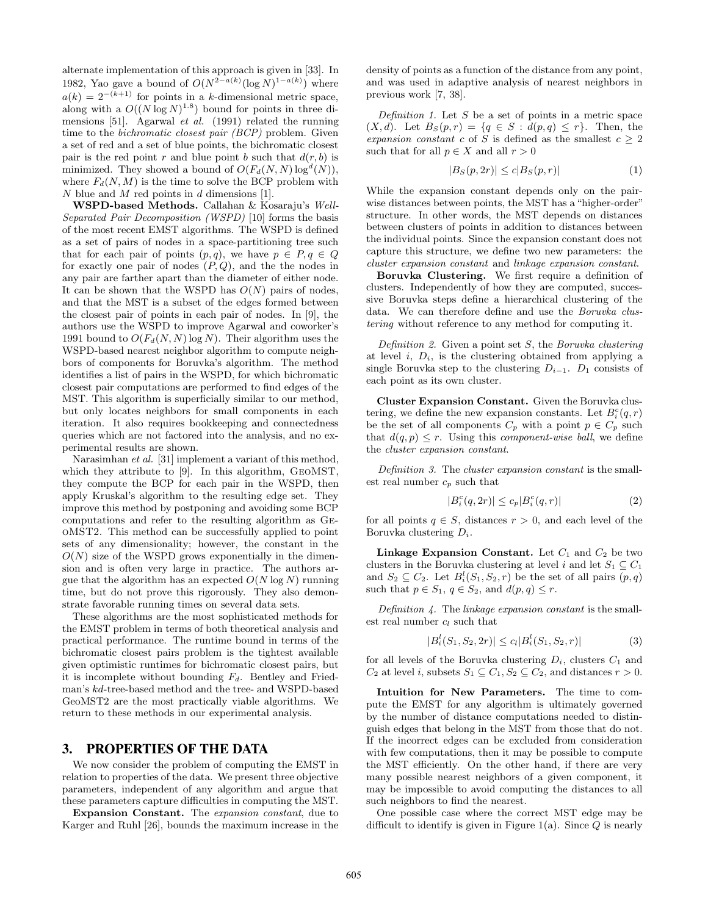alternate implementation of this approach is given in [33]. In 1982, Yao gave a bound of  $O(N^{2-a(k)}(\log N)^{1-a(k)})$  where  $a(k)=2^{-(k+1)}$  for points in a k-dimensional metric space, along with a  $O((N \log N)^{1.8})$  bound for points in three dimensions [51]. Agarwal *et al.* (1991) related the running time to the *bichromatic closest pair (BCP)* problem. Given a set of red and a set of blue points, the bichromatic closest pair is the red point r and blue point b such that  $d(r, b)$  is minimized. They showed a bound of  $O(F_d(N,N) \log^d(N)),$ where  $F_d(N,M)$  is the time to solve the BCP problem with N blue and M red points in  $d$  dimensions [1].

**WSPD-based Methods.** Callahan & Kosaraju's *Well-Separated Pair Decomposition (WSPD)* [10] forms the basis of the most recent EMST algorithms. The WSPD is defined as a set of pairs of nodes in a space-partitioning tree such that for each pair of points  $(p, q)$ , we have  $p \in P, q \in Q$ for exactly one pair of nodes  $(P, Q)$ , and the the nodes in any pair are farther apart than the diameter of either node. It can be shown that the WSPD has  $O(N)$  pairs of nodes, and that the MST is a subset of the edges formed between the closest pair of points in each pair of nodes. In [9], the authors use the WSPD to improve Agarwal and coworker's 1991 bound to  $O(F_d(N,N) \log N)$ . Their algorithm uses the WSPD-based nearest neighbor algorithm to compute neighbors of components for Boruvka's algorithm. The method identifies a list of pairs in the WSPD, for which bichromatic closest pair computations are performed to find edges of the MST. This algorithm is superficially similar to our method, but only locates neighbors for small components in each iteration. It also requires bookkeeping and connectedness queries which are not factored into the analysis, and no experimental results are shown.

Narasimhan *et al.* [31] implement a variant of this method, which they attribute to [9]. In this algorithm, GeoMST, they compute the BCP for each pair in the WSPD, then apply Kruskal's algorithm to the resulting edge set. They improve this method by postponing and avoiding some BCP computations and refer to the resulting algorithm as GeoMST2. This method can be successfully applied to point sets of any dimensionality; however, the constant in the  $O(N)$  size of the WSPD grows exponentially in the dimension and is often very large in practice. The authors argue that the algorithm has an expected  $O(N \log N)$  running time, but do not prove this rigorously. They also demonstrate favorable running times on several data sets.

These algorithms are the most sophisticated methods for the EMST problem in terms of both theoretical analysis and practical performance. The runtime bound in terms of the bichromatic closest pairs problem is the tightest available given optimistic runtimes for bichromatic closest pairs, but it is incomplete without bounding F*d*. Bentley and Friedman's kd-tree-based method and the tree- and WSPD-based GeoMST2 are the most practically viable algorithms. We return to these methods in our experimental analysis.

# **3. PROPERTIES OF THE DATA**

We now consider the problem of computing the EMST in relation to properties of the data. We present three objective parameters, independent of any algorithm and argue that these parameters capture difficulties in computing the MST.

**Expansion Constant.** The *expansion constant*, due to Karger and Ruhl [26], bounds the maximum increase in the density of points as a function of the distance from any point, and was used in adaptive analysis of nearest neighbors in previous work [7, 38].

*Definition 1.* Let S be a set of points in a metric space  $(X, d)$ . Let  $B_S(p, r) = \{q \in S : d(p, q) \leq r\}$ . Then, the *expansion constant* c of S is defined as the smallest  $c \geq 2$ such that for all  $p \in X$  and all  $r > 0$ 

$$
|B_S(p, 2r)| \le c|B_S(p, r)|\tag{1}
$$

While the expansion constant depends only on the pairwise distances between points, the MST has a "higher-order" structure. In other words, the MST depends on distances between clusters of points in addition to distances between the individual points. Since the expansion constant does not capture this structure, we define two new parameters: the *cluster expansion constant* and *linkage expansion constant*.

**Boruvka Clustering.** We first require a definition of clusters. Independently of how they are computed, successive Boruvka steps define a hierarchical clustering of the data. We can therefore define and use the *Boruvka clustering* without reference to any method for computing it.

*Definition 2.* Given a point set S, the *Boruvka clustering* at level  $i$ ,  $D_i$ , is the clustering obtained from applying a single Boruvka step to the clustering  $D_{i-1}$ .  $D_1$  consists of each point as its own cluster.

**Cluster Expansion Constant.** Given the Boruvka clustering, we define the new expansion constants. Let  $B_i^c(q, r)$ be the set of all components  $C_p$  with a point  $p \in C_p$  such that  $d(q, p) \leq r$ . Using this *component-wise ball*, we define the *cluster expansion constant*.

*Definition 3.* The *cluster expansion constant* is the smallest real number c*<sup>p</sup>* such that

$$
|B_i^c(q, 2r)| \le c_p |B_i^c(q, r)| \tag{2}
$$

for all points  $q \in S$ , distances  $r > 0$ , and each level of the Boruvka clustering D*i*.

**Linkage Expansion Constant.** Let  $C_1$  and  $C_2$  be two clusters in the Boruvka clustering at level i and let  $S_1 \subseteq C_1$ and  $S_2 \subseteq C_2$ . Let  $B_i^l(S_1, S_2, r)$  be the set of all pairs  $(p, q)$ such that  $p \in S_1$ ,  $q \in S_2$ , and  $d(p, q) \leq r$ .

*Definition 4.* The *linkage expansion constant* is the smallest real number c*<sup>l</sup>* such that

$$
|B_i^l(S_1, S_2, 2r)| \le c_l |B_i^l(S_1, S_2, r)| \tag{3}
$$

for all levels of the Boruvka clustering  $D_i$ , clusters  $C_1$  and  $C_2$  at level i, subsets  $S_1 \subseteq C_1, S_2 \subseteq C_2$ , and distances  $r > 0$ .

**Intuition for New Parameters.** The time to compute the EMST for any algorithm is ultimately governed by the number of distance computations needed to distinguish edges that belong in the MST from those that do not. If the incorrect edges can be excluded from consideration with few computations, then it may be possible to compute the MST efficiently. On the other hand, if there are very many possible nearest neighbors of a given component, it may be impossible to avoid computing the distances to all such neighbors to find the nearest.

One possible case where the correct MST edge may be difficult to identify is given in Figure 1(a). Since  $Q$  is nearly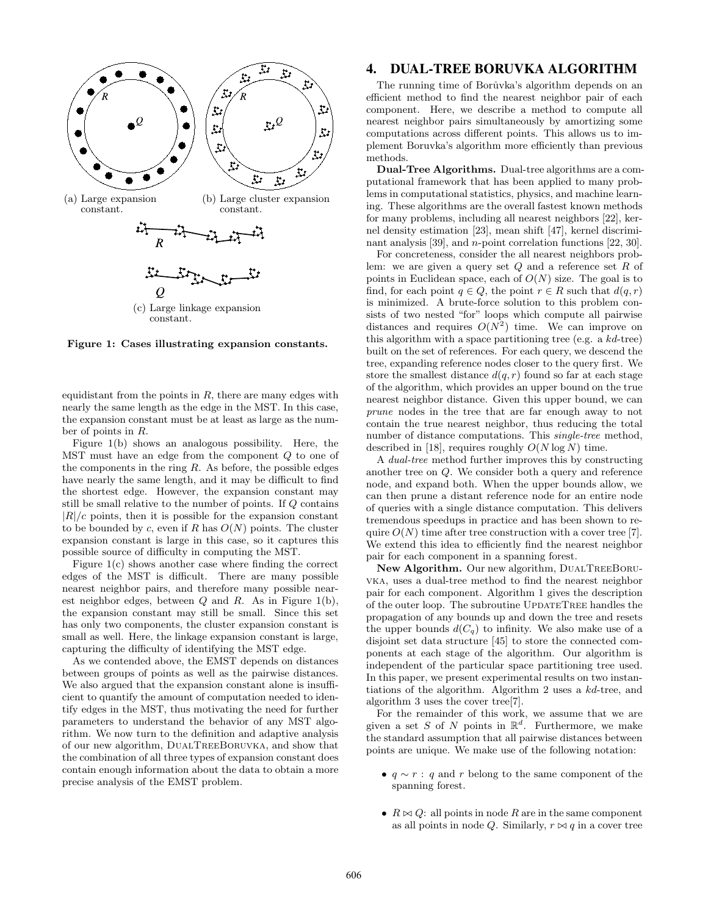

**Figure 1: Cases illustrating expansion constants.**

equidistant from the points in  $R$ , there are many edges with nearly the same length as the edge in the MST. In this case, the expansion constant must be at least as large as the number of points in R.

Figure 1(b) shows an analogous possibility. Here, the  $MST$  must have an edge from the component  $Q$  to one of the components in the ring  $R$ . As before, the possible edges have nearly the same length, and it may be difficult to find the shortest edge. However, the expansion constant may still be small relative to the number of points. If Q contains  $|R|/c$  points, then it is possible for the expansion constant to be bounded by c, even if R has  $O(N)$  points. The cluster expansion constant is large in this case, so it captures this possible source of difficulty in computing the MST.

Figure 1(c) shows another case where finding the correct edges of the MST is difficult. There are many possible nearest neighbor pairs, and therefore many possible nearest neighbor edges, between  $Q$  and  $R$ . As in Figure 1(b), the expansion constant may still be small. Since this set has only two components, the cluster expansion constant is small as well. Here, the linkage expansion constant is large, capturing the difficulty of identifying the MST edge.

As we contended above, the EMST depends on distances between groups of points as well as the pairwise distances. We also argued that the expansion constant alone is insufficient to quantify the amount of computation needed to identify edges in the MST, thus motivating the need for further parameters to understand the behavior of any MST algorithm. We now turn to the definition and adaptive analysis of our new algorithm, DualTreeBoruvka, and show that the combination of all three types of expansion constant does contain enough information about the data to obtain a more precise analysis of the EMST problem.

#### **4. DUAL-TREE BORUVKA ALGORITHM**

The running time of Borůvka's algorithm depends on an efficient method to find the nearest neighbor pair of each component. Here, we describe a method to compute all nearest neighbor pairs simultaneously by amortizing some computations across different points. This allows us to implement Boruvka's algorithm more efficiently than previous methods.

**Dual-Tree Algorithms.** Dual-tree algorithms are a computational framework that has been applied to many problems in computational statistics, physics, and machine learning. These algorithms are the overall fastest known methods for many problems, including all nearest neighbors [22], kernel density estimation [23], mean shift [47], kernel discriminant analysis [39], and *n*-point correlation functions [22, 30].

For concreteness, consider the all nearest neighbors problem: we are given a query set  $Q$  and a reference set  $R$  of points in Euclidean space, each of  $O(N)$  size. The goal is to find, for each point  $q \in Q$ , the point  $r \in R$  such that  $d(q, r)$ is minimized. A brute-force solution to this problem consists of two nested "for" loops which compute all pairwise distances and requires  $O(N^2)$  time. We can improve on this algorithm with a space partitioning tree (e.g. a kd-tree) built on the set of references. For each query, we descend the tree, expanding reference nodes closer to the query first. We store the smallest distance  $d(q, r)$  found so far at each stage of the algorithm, which provides an upper bound on the true nearest neighbor distance. Given this upper bound, we can *prune* nodes in the tree that are far enough away to not contain the true nearest neighbor, thus reducing the total number of distance computations. This *single-tree* method, described in [18], requires roughly  $O(N \log N)$  time.

A *dual-tree* method further improves this by constructing another tree on Q. We consider both a query and reference node, and expand both. When the upper bounds allow, we can then prune a distant reference node for an entire node of queries with a single distance computation. This delivers tremendous speedups in practice and has been shown to require  $O(N)$  time after tree construction with a cover tree [7]. We extend this idea to efficiently find the nearest neighbor pair for each component in a spanning forest.

New Algorithm. Our new algorithm, DUALTREEBORUvka, uses a dual-tree method to find the nearest neighbor pair for each component. Algorithm 1 gives the description of the outer loop. The subroutine UPDATETREE handles the propagation of any bounds up and down the tree and resets the upper bounds  $d(C_q)$  to infinity. We also make use of a disjoint set data structure [45] to store the connected components at each stage of the algorithm. Our algorithm is independent of the particular space partitioning tree used. In this paper, we present experimental results on two instantiations of the algorithm. Algorithm 2 uses a kd-tree, and algorithm 3 uses the cover tree[7].

For the remainder of this work, we assume that we are given a set S of N points in  $\mathbb{R}^d$ . Furthermore, we make the standard assumption that all pairwise distances between points are unique. We make use of the following notation:

- $q \sim r : q$  and r belong to the same component of the spanning forest.
- $R \bowtie Q$ : all points in node R are in the same component as all points in node Q. Similarly,  $r \bowtie q$  in a cover tree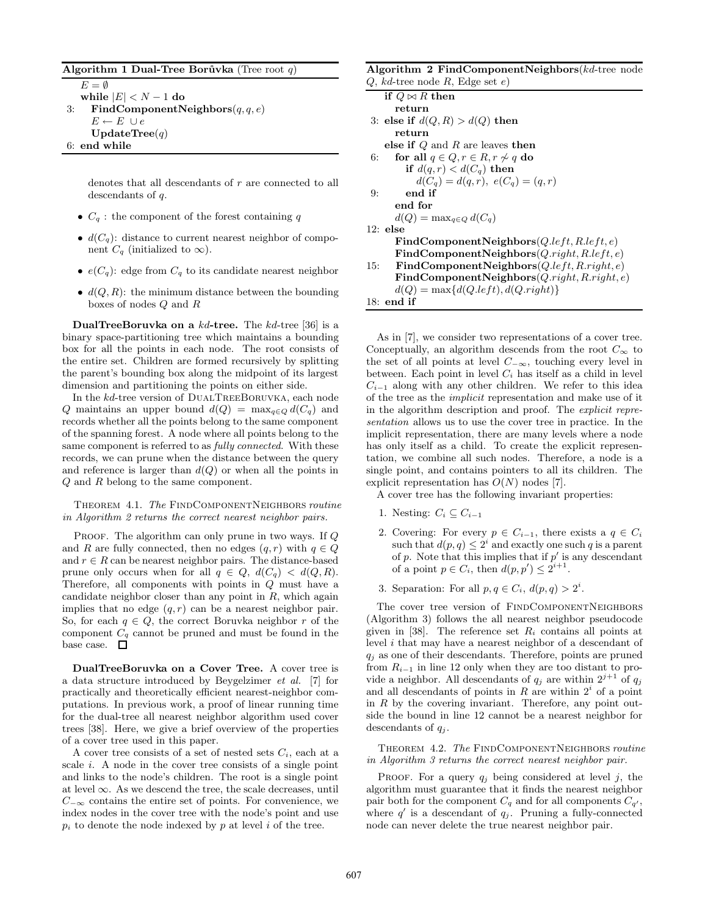#### **Algorithm 1 Dual-Tree Borůvka** (Tree root  $q$ )

 $E = \emptyset$ **while**  $|E| < N - 1$  **do** 

3: **FindComponentNeighbors**(q,q, e)  $E \leftarrow E \ \cup e$ **UpdateTree**(q) 6: **end while**

> denotes that all descendants of r are connected to all descendants of q.

- $C_q$ : the component of the forest containing q
- $d(C_q)$ : distance to current nearest neighbor of component  $C_q$  (initialized to  $\infty$ ).
- $e(C_q)$ : edge from  $C_q$  to its candidate nearest neighbor
- $d(Q, R)$ : the minimum distance between the bounding boxes of nodes Q and R

**DualTreeBoruvka on a** kd**-tree.** The kd-tree [36] is a binary space-partitioning tree which maintains a bounding box for all the points in each node. The root consists of the entire set. Children are formed recursively by splitting the parent's bounding box along the midpoint of its largest dimension and partitioning the points on either side.

In the kd-tree version of DUALTREEBORUVKA, each node Q maintains an upper bound  $d(Q) = \max_{q \in Q} d(C_q)$  and records whether all the points belong to the same component of the spanning forest. A node where all points belong to the same component is referred to as *fully connected*. With these records, we can prune when the distance between the query and reference is larger than  $d(Q)$  or when all the points in Q and R belong to the same component.

Theorem 4.1. *The* FindComponentNeighbors *routine in Algorithm 2 returns the correct nearest neighbor pairs.*

PROOF. The algorithm can only prune in two ways. If Q and R are fully connected, then no edges  $(q, r)$  with  $q \in Q$ and  $r \in R$  can be nearest neighbor pairs. The distance-based prune only occurs when for all  $q \in Q$ ,  $d(C_q) < d(Q, R)$ . Therefore, all components with points in Q must have a candidate neighbor closer than any point in  $R$ , which again implies that no edge  $(q, r)$  can be a nearest neighbor pair. So, for each  $q \in Q$ , the correct Boruvka neighbor r of the component C*<sup>q</sup>* cannot be pruned and must be found in the base case.  $\quad \Box$ 

**DualTreeBoruvka on a Cover Tree.** A cover tree is a data structure introduced by Beygelzimer *et al.* [7] for practically and theoretically efficient nearest-neighbor computations. In previous work, a proof of linear running time for the dual-tree all nearest neighbor algorithm used cover trees [38]. Here, we give a brief overview of the properties of a cover tree used in this paper.

A cover tree consists of a set of nested sets C*i*, each at a scale  $i$ . A node in the cover tree consists of a single point and links to the node's children. The root is a single point at level  $\infty$ . As we descend the tree, the scale decreases, until  $C_{-\infty}$  contains the entire set of points. For convenience, we index nodes in the cover tree with the node's point and use  $p_i$  to denote the node indexed by  $p$  at level  $i$  of the tree.

| <b>Algorithm 2 FindComponentNeighbors</b> ( $kd$ -tree node |                                               |  |  |  |
|-------------------------------------------------------------|-----------------------------------------------|--|--|--|
|                                                             | $Q, kd$ -tree node R, Edge set e)             |  |  |  |
| if $Q \bowtie R$ then                                       |                                               |  |  |  |
| return                                                      |                                               |  |  |  |
|                                                             | 3: else if $d(Q, R) > d(Q)$ then              |  |  |  |
| return                                                      |                                               |  |  |  |
|                                                             | else if $Q$ and R are leaves then             |  |  |  |
| 6:                                                          | for all $q \in Q, r \in R, r \not\sim q$ do   |  |  |  |
|                                                             | if $d(q,r) < d(C_q)$ then                     |  |  |  |
|                                                             | $d(C_q) = d(q, r), e(C_q) = (q, r)$           |  |  |  |
| end if<br>9:                                                |                                               |  |  |  |
| end for                                                     |                                               |  |  |  |
|                                                             | $d(Q) = \max_{a \in Q} d(C_a)$                |  |  |  |
| $12:$ else                                                  |                                               |  |  |  |
|                                                             | $FindComponentNeighbors(Q.left, R.left, e)$   |  |  |  |
|                                                             | $FindComponentNeighbors(Q.right, R.left, e)$  |  |  |  |
| 15:                                                         | $FindComponentNeighbors(Q.left, R.right, e)$  |  |  |  |
|                                                             | $FindComponentNeighbors(Q.right, R.right, e)$ |  |  |  |
|                                                             | $d(Q) = \max\{d(Q.left), d(Q.right)\}\$       |  |  |  |

As in [7], we consider two representations of a cover tree. Conceptually, an algorithm descends from the root  $C_{\infty}$  to the set of all points at level  $C_{-\infty}$ , touching every level in between. Each point in level  $C_i$  has itself as a child in level  $C_{i-1}$  along with any other children. We refer to this idea of the tree as the *implicit* representation and make use of it in the algorithm description and proof. The *explicit representation* allows us to use the cover tree in practice. In the implicit representation, there are many levels where a node has only itself as a child. To create the explicit representation, we combine all such nodes. Therefore, a node is a single point, and contains pointers to all its children. The explicit representation has  $O(N)$  nodes [7].

A cover tree has the following invariant properties:

1. Nesting:  $C_i \subset C_{i-1}$ 

18: **end if**

- 2. Covering: For every  $p \in C_{i-1}$ , there exists a  $q \in C_i$ such that  $d(p, q) \leq 2^i$  and exactly one such q is a parent of p. Note that this implies that if  $p'$  is any descendant of a point  $p \in C_i$ , then  $d(p, p') \leq 2^{i+1}$ .
- 3. Separation: For all  $p, q \in C_i$ ,  $d(p, q) > 2^i$ .

The cover tree version of FINDCOMPONENTNEIGHBORS (Algorithm 3) follows the all nearest neighbor pseudocode given in [38]. The reference set  $R_i$  contains all points at level i that may have a nearest neighbor of a descendant of  $q_i$  as one of their descendants. Therefore, points are pruned from  $R_{i-1}$  in line 12 only when they are too distant to provide a neighbor. All descendants of  $q_j$  are within  $2^{j+1}$  of  $q_j$ and all descendants of points in  $R$  are within  $2<sup>i</sup>$  of a point in  $R$  by the covering invariant. Therefore, any point outside the bound in line 12 cannot be a nearest neighbor for descendants of q*<sup>j</sup>* .

Theorem 4.2. *The* FindComponentNeighbors *routine in Algorithm 3 returns the correct nearest neighbor pair.*

PROOF. For a query  $q_i$  being considered at level j, the algorithm must guarantee that it finds the nearest neighbor pair both for the component  $C_q$  and for all components  $C_{q'}$ , where  $q'$  is a descendant of  $q_j$ . Pruning a fully-connected node can never delete the true nearest neighbor pair.

# **Algorithm 2 FindComponentNeighbors**(kd-tree node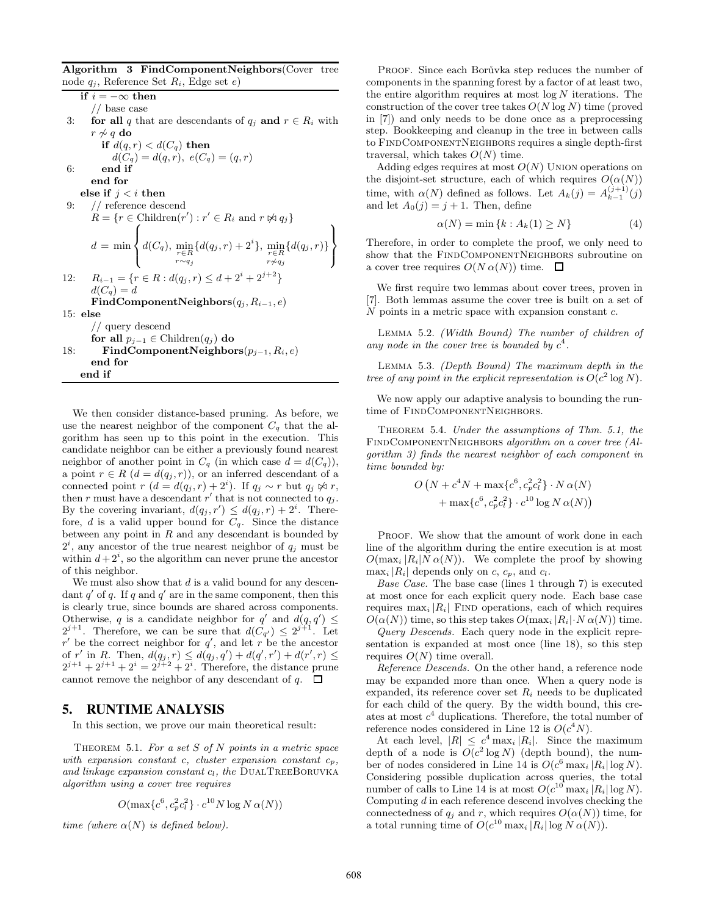**Algorithm 3 FindComponentNeighbors**(Cover tree node  $q_i$ , Reference Set  $R_i$ , Edge set  $e$ )

**if**  $i = -\infty$  **then** 

// base case

3: **for all** q that are descendants of  $q_j$  **and**  $r \in R_i$  with  $r \nsim q d\mathbf{o}$ <br>**if**  $d(a)$ 

$$
\begin{aligned} \textbf{if } d(q,r) &< d(C_q) \textbf{ then} \\ d(C_q) &= d(q,r), \ e(C_q) = (q,r) \end{aligned}
$$

6: **end if end for**

**else** if  $j < i$  **then** 

9: // reference descend

$$
R = \{r \in \text{Children}(r') : r' \in R_i \text{ and } r \not\approx q_j\}
$$
  

$$
d = \min \left\{ d(C_q), \min_{\substack{r \in R \\ r \sim q_j}} \{ d(q_j, r) + 2^i \}, \min_{\substack{r \in R \\ r \neq q_j}} \{ d(q_j, r) \}
$$
  
12: 
$$
R_{i-1} = \{r \in R : d(q_j, r) \leq d + 2^i + 2^{j+2} \}
$$

$$
d(C_q) = d
$$
FindComponentNeighbors $(q_j, R_{i-1}, e)$   
15: else  
// query descend

**for all**  $p_{i-1}$  ∈ Children( $q_i$ ) **do** 18: **FindComponentNeighbors**(p*<sup>j</sup>*−<sup>1</sup>, R*i*, e) **end for end if**

We then consider distance-based pruning. As before, we use the nearest neighbor of the component  $C_q$  that the algorithm has seen up to this point in the execution. This candidate neighbor can be either a previously found nearest neighbor of another point in  $C_q$  (in which case  $d = d(C_q)$ ), a point  $r \in R$   $(d = d(q_j, r))$ , or an inferred descendant of a connected point  $r (d = d(q_j, r) + 2^i)$ . If  $q_j \sim r$  but  $q_j \not\approx r$ , then r must have a descendant r' that is not connected to  $q_j$ . By the covering invariant,  $d(q_j, r') \leq d(q_j, r) + 2^i$ . Therefore, *d* is a valid upper bound for  $C_q$ . Since the distance between any point in  $R$  and any descendant is bounded by  $2<sup>i</sup>$ , any ancestor of the true nearest neighbor of  $q<sub>j</sub>$  must be within  $d+2^i$ , so the algorithm can never prune the ancestor of this neighbor.

We must also show that  $d$  is a valid bound for any descendant q' of q. If q and  $q'$  are in the same component, then this is clearly true, since bounds are shared across components. Otherwise, q is a candidate neighbor for q' and  $d(q, q') \leq$  $2^{j+1}$ . Therefore, we can be sure that  $d(\mathcal{C}_{q'}) \leq 2^{j+1}$ . Let  $r'$  be the correct neighbor for  $q'$ , and let r be the ancestor of r' in R. Then,  $d(q_j, r) \leq d(q_j, q') + d(q', r') + d(r', r) \leq 2^{j+1} + 2^{j+1} + 2^i = 2^{j+2} + 2^i$ . Therefore, the distance prune cannot remove the neighbor of any descendant of q.  $\Box$ 

# **5. RUNTIME ANALYSIS**

In this section, we prove our main theoretical result:

Theorem 5.1. *For a set* S *of* N *points in a metric space with expansion constant* c*, cluster expansion constant* c*p, and linkage expansion constant* c*l, the* DualTreeBoruvka *algorithm using a cover tree requires*

$$
O(\max\{c^6, c_p^2c_l^2\} \cdot c^{10}N\log N \alpha(N))
$$

*time (where*  $\alpha(N)$  *is defined below).* 

PROOF. Since each Borůvka step reduces the number of components in the spanning forest by a factor of at least two, the entire algorithm requires at most  $log N$  iterations. The construction of the cover tree takes  $O(N \log N)$  time (proved in [7]) and only needs to be done once as a preprocessing step. Bookkeeping and cleanup in the tree in between calls to FindComponentNeighbors requires a single depth-first traversal, which takes  $O(N)$  time.

Adding edges requires at most  $O(N)$  UNION operations on the disjoint-set structure, each of which requires  $O(\alpha(N))$ time, with  $\alpha(N)$  defined as follows. Let  $A_k(j) = A_{k-1}^{(j+1)}(j)$ and let  $A_0(i) = i + 1$ . Then, define

$$
\alpha(N) = \min\left\{k : A_k(1) \ge N\right\} \tag{4}
$$

Therefore, in order to complete the proof, we only need to show that the FINDCOMPONENTNEIGHBORS subroutine on a cover tree requires  $O(N \alpha(N))$  time.  $\Box$ 

We first require two lemmas about cover trees, proven in [7]. Both lemmas assume the cover tree is built on a set of  $N$  points in a metric space with expansion constant  $c$ .

Lemma 5.2. *(Width Bound) The number of children of any node in the cover tree is bounded by*  $c^4$ .

Lemma 5.3. *(Depth Bound) The maximum depth in the tree of any point in the explicit representation is*  $O(c^2 \log N)$ .

We now apply our adaptive analysis to bounding the runtime of FINDCOMPONENTNEIGHBORS.

Theorem 5.4. *Under the assumptions of Thm. 5.1, the* FindComponentNeighbors *algorithm on a cover tree (Algorithm 3) finds the nearest neighbor of each component in time bounded by:*

$$
O\left(N + c^{4}N + \max\{c^{6}, c_{p}^{2}c_{i}^{2}\} \cdot N \alpha(N)\right) + \max\{c^{6}, c_{p}^{2}c_{i}^{2}\} \cdot c^{10} \log N \alpha(N)\right)
$$

PROOF. We show that the amount of work done in each line of the algorithm during the entire execution is at most  $O(\max_i |R_i| N \alpha(N)).$  We complete the proof by showing  $\max_i |R_i|$  depends only on c,  $c_p$ , and  $c_l$ .

*Base Case.* The base case (lines 1 through 7) is executed at most once for each explicit query node. Each base case requires  $\max_i |R_i|$  FIND operations, each of which requires  $O(\alpha(N))$  time, so this step takes  $O(\max_i |R_i| \cdot N \alpha(N))$  time.

*Query Descends.* Each query node in the explicit representation is expanded at most once (line 18), so this step requires  $O(N)$  time overall.

*Reference Descends.* On the other hand, a reference node may be expanded more than once. When a query node is expanded, its reference cover set R*<sup>i</sup>* needs to be duplicated for each child of the query. By the width bound, this creates at most  $c<sup>4</sup>$  duplications. Therefore, the total number of reference nodes considered in Line 12 is  $O(c^4N)$ .

At each level,  $|R| \leq c^4 \max_i |R_i|$ . Since the maximum depth of a node is  $O(c^2 \log N)$  (depth bound), the number of nodes considered in Line 14 is  $O(c^6 \max_i |R_i| \log N)$ . Considering possible duplication across queries, the total number of calls to Line 14 is at most  $O(c^{10} \max_i |R_i| \log N)$ . Computing  $d$  in each reference descend involves checking the connectedness of  $q_j$  and r, which requires  $O(\alpha(N))$  time, for a total running time of  $O(c^{10} \max_i |R_i| \log N \alpha(N)).$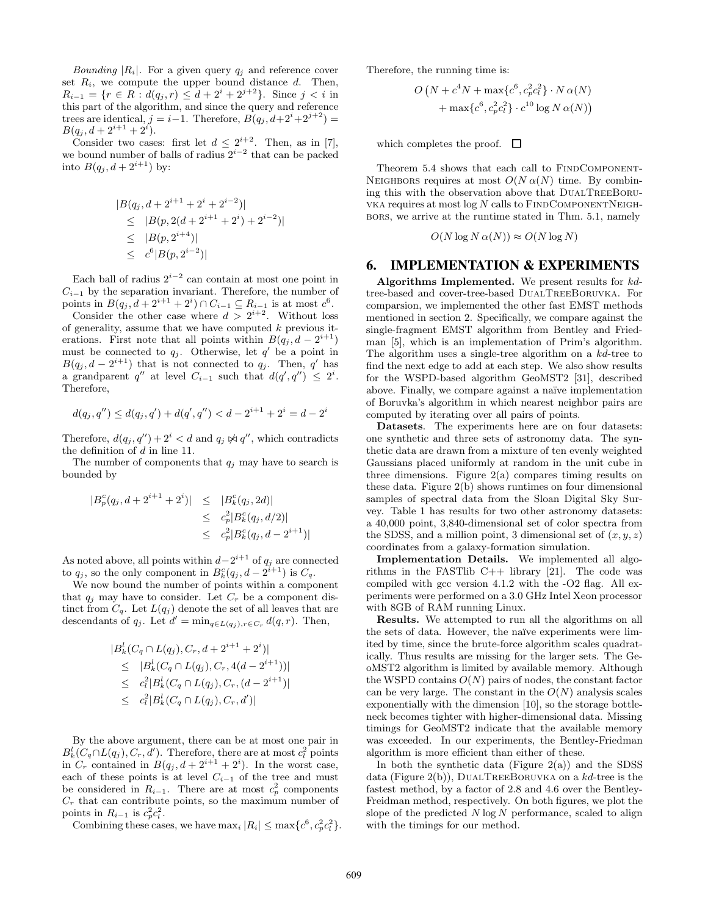*Bounding*  $|R_i|$ . For a given query  $q_i$  and reference cover set  $R_i$ , we compute the upper bound distance  $d$ . Then,  $R_{i-1}$  = { $r \in R$  :  $d(q_j, r) \leq d + 2^i + 2^{j+2}$ }. Since  $j < i$  in this part of the algorithm, and since the query and reference trees are identical,  $j = i-1$ . Therefore,  $B(q_j, d+2^i+2^{j+2}) =$  $B(q_j, d+2^{i+1}+2^i).$ 

Consider two cases: first let  $d \leq 2^{i+2}$ . Then, as in [7], we bound number of balls of radius 2*<sup>i</sup>*−<sup>2</sup> that can be packed into  $B(q_j, d + 2^{i+1})$  by:

$$
|B(q_j, d + 2^{i+1} + 2^i + 2^{i-2})|
$$
  
\n
$$
\leq |B(p, 2(d + 2^{i+1} + 2^i) + 2^{i-2})|
$$
  
\n
$$
\leq |B(p, 2^{i+4})|
$$
  
\n
$$
\leq c^6 |B(p, 2^{i-2})|
$$

Each ball of radius  $2^{i-2}$  can contain at most one point in  $C_{i-1}$  by the separation invariant. Therefore, the number of points in  $B(q_j, d + 2^{i+1} + 2^i) \cap C_{i-1} \subseteq R_{i-1}$  is at most  $c^6$ .

Consider the other case where  $d > 2^{i+2}$ . Without loss of generality, assume that we have computed  $k$  previous iterations. First note that all points within  $B(q_i, d - 2^{i+1})$ must be connected to  $q_j$ . Otherwise, let  $q'$  be a point in  $B(q_j, d - 2^{i+1})$  that is not connected to  $q_j$ . Then, q' has a grandparent  $q''$  at level  $C_{i-1}$  such that  $d(q', q'') \leq 2^i$ . Therefore,

$$
d(q_j, q'') \le d(q_j, q') + d(q', q'') < d - 2^{i+1} + 2^i = d - 2^i
$$

Therefore,  $d(q_j, q'') + 2^i < d$  and  $q_j \not\bowtie q''$ , which contradicts the definition of d in line 11.

The number of components that  $q_j$  may have to search is bounded by

$$
|B_p^c(q_j, d + 2^{i+1} + 2^i)| \leq |B_k^c(q_j, 2d)|
$$
  
\n
$$
\leq c_p^2 |B_k^c(q_j, d/2)|
$$
  
\n
$$
\leq c_p^2 |B_k^c(q_j, d - 2^{i+1})|
$$

As noted above, all points within  $d-2^{i+1}$  of  $q_j$  are connected to  $q_j$ , so the only component in  $B_k^c(q_j, d - 2^{i+1})$  is  $C_q$ .

We now bound the number of points within a component that  $q_j$  may have to consider. Let  $C_r$  be a component distinct from  $C_q$ . Let  $L(q_j)$  denote the set of all leaves that are descendants of  $q_j$ . Let  $d' = \min_{q \in L(q_j), r \in C_r} d(q, r)$ . Then,

$$
|B_k^l(C_q \cap L(q_j), C_r, d+2^{i+1}+2^i)|
$$
  
\n
$$
\leq |B_k^l(C_q \cap L(q_j), C_r, 4(d-2^{i+1}))|
$$
  
\n
$$
\leq c_l^2 |B_k^l(C_q \cap L(q_j), C_r, (d-2^{i+1})|)
$$
  
\n
$$
\leq c_l^2 |B_k^l(C_q \cap L(q_j), C_r, d')|
$$

By the above argument, there can be at most one pair in  $B_k^l(C_q \cap L(q_j), C_r, d')$ . Therefore, there are at most  $c_l^2$  points in  $C_r$  contained in  $B(q_j, d+2^{i+1}+2^i)$ . In the worst case, each of these points is at level  $C_{i-1}$  of the tree and must be considered in  $R_{i-1}$ . There are at most  $c_p^2$  components  $C_r$  that can contribute points, so the maximum number of points in  $R_{i-1}$  is  $c_p^2 c_l^2$ .

Combining these cases, we have  $\max_i |R_i| \leq \max\{c^6, c_p^2 c_i^2\}.$ 

Therefore, the running time is:

$$
O\left(N + c^{4}N + \max\{c^{6}, c_{p}^{2}c_{l}^{2}\} \cdot N \alpha(N)\right) + \max\{c^{6}, c_{p}^{2}c_{l}^{2}\} \cdot c^{10} \log N \alpha(N)\right)
$$

which completes the proof.  $\Box$ 

Theorem 5.4 shows that each call to FINDCOMPONENT-NEIGHBORS requires at most  $O(N \alpha(N))$  time. By combining this with the observation above that DualTreeBoru-VKA requires at most  $log N$  calls to  $FINDCOMPONENTNEIGH$ bors, we arrive at the runtime stated in Thm. 5.1, namely

$$
O(N \log N \alpha(N)) \approx O(N \log N)
$$

#### **6. IMPLEMENTATION & EXPERIMENTS**

**Algorithms Implemented.** We present results for kdtree-based and cover-tree-based DualTreeBoruvka. For comparsion, we implemented the other fast EMST methods mentioned in section 2. Specifically, we compare against the single-fragment EMST algorithm from Bentley and Friedman [5], which is an implementation of Prim's algorithm. The algorithm uses a single-tree algorithm on a kd-tree to find the next edge to add at each step. We also show results for the WSPD-based algorithm GeoMST2 [31], described above. Finally, we compare against a naïve implementation of Boruvka's algorithm in which nearest neighbor pairs are computed by iterating over all pairs of points.

**Datasets**. The experiments here are on four datasets: one synthetic and three sets of astronomy data. The synthetic data are drawn from a mixture of ten evenly weighted Gaussians placed uniformly at random in the unit cube in three dimensions. Figure  $2(a)$  compares timing results on these data. Figure 2(b) shows runtimes on four dimensional samples of spectral data from the Sloan Digital Sky Survey. Table 1 has results for two other astronomy datasets: a 40,000 point, 3,840-dimensional set of color spectra from the SDSS, and a million point, 3 dimensional set of  $(x, y, z)$ coordinates from a galaxy-formation simulation.

**Implementation Details.** We implemented all algorithms in the FASTlib  $C++$  library [21]. The code was compiled with gcc version 4.1.2 with the -O2 flag. All experiments were performed on a 3.0 GHz Intel Xeon processor with 8GB of RAM running Linux.

**Results.** We attempted to run all the algorithms on all the sets of data. However, the naïve experiments were limited by time, since the brute-force algorithm scales quadratically. Thus results are missing for the larger sets. The GeoMST2 algorithm is limited by available memory. Although the WSPD contains  $O(N)$  pairs of nodes, the constant factor can be very large. The constant in the  $O(N)$  analysis scales exponentially with the dimension [10], so the storage bottleneck becomes tighter with higher-dimensional data. Missing timings for GeoMST2 indicate that the available memory was exceeded. In our experiments, the Bentley-Friedman algorithm is more efficient than either of these.

In both the synthetic data (Figure  $2(a)$ ) and the SDSS data (Figure 2(b)), DUALTREEBORUVKA on a  $kd$ -tree is the fastest method, by a factor of 2.8 and 4.6 over the Bentley-Freidman method, respectively. On both figures, we plot the slope of the predicted  $N \log N$  performance, scaled to align with the timings for our method.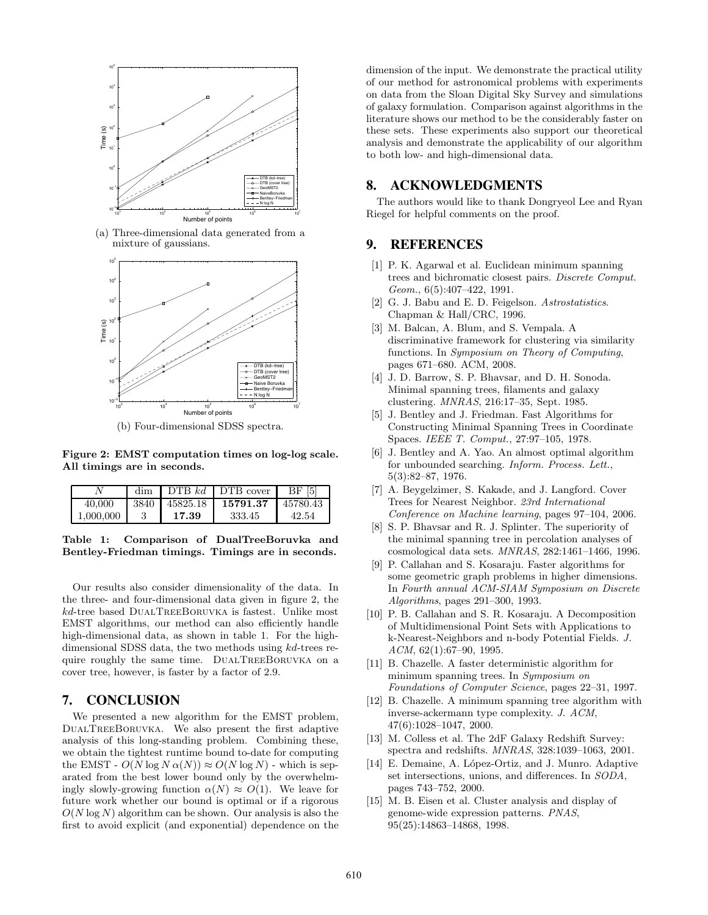

(a) Three-dimensional data generated from a mixture of gaussians.



(b) Four-dimensional SDSS spectra.

**Figure 2: EMST computation times on log-log scale. All timings are in seconds.**

|           | dim  |          | DTB $kd$   DTB cover | $\vert 5 \vert$<br>BF |
|-----------|------|----------|----------------------|-----------------------|
| 40.000    | 3840 | 45825.18 | 15791.37             | 45780.43              |
| 1.000.000 |      | 17.39    | 333.45               | 42.54                 |

**Table 1: Comparison of DualTreeBoruvka and Bentley-Friedman timings. Timings are in seconds.**

Our results also consider dimensionality of the data. In the three- and four-dimensional data given in figure 2, the kd-tree based DualTreeBoruvka is fastest. Unlike most EMST algorithms, our method can also efficiently handle high-dimensional data, as shown in table 1. For the highdimensional SDSS data, the two methods using kd-trees require roughly the same time. DualTreeBoruvka on a cover tree, however, is faster by a factor of 2.9.

# **7. CONCLUSION**

We presented a new algorithm for the EMST problem, DualTreeBoruvka. We also present the first adaptive analysis of this long-standing problem. Combining these, we obtain the tightest runtime bound to-date for computing the EMST -  $O(N \log N \alpha(N)) \approx O(N \log N)$  - which is separated from the best lower bound only by the overwhelmingly slowly-growing function  $\alpha(N) \approx O(1)$ . We leave for future work whether our bound is optimal or if a rigorous  $O(N \log N)$  algorithm can be shown. Our analysis is also the first to avoid explicit (and exponential) dependence on the

dimension of the input. We demonstrate the practical utility of our method for astronomical problems with experiments on data from the Sloan Digital Sky Survey and simulations of galaxy formulation. Comparison against algorithms in the literature shows our method to be the considerably faster on these sets. These experiments also support our theoretical analysis and demonstrate the applicability of our algorithm to both low- and high-dimensional data.

#### **8. ACKNOWLEDGMENTS**

The authors would like to thank Dongryeol Lee and Ryan Riegel for helpful comments on the proof.

## **9. REFERENCES**

- [1] P. K. Agarwal et al. Euclidean minimum spanning trees and bichromatic closest pairs. *Discrete Comput. Geom.*, 6(5):407–422, 1991.
- [2] G. J. Babu and E. D. Feigelson. *Astrostatistics*. Chapman & Hall/CRC, 1996.
- [3] M. Balcan, A. Blum, and S. Vempala. A discriminative framework for clustering via similarity functions. In *Symposium on Theory of Computing*, pages 671–680. ACM, 2008.
- [4] J. D. Barrow, S. P. Bhavsar, and D. H. Sonoda. Minimal spanning trees, filaments and galaxy clustering. *MNRAS*, 216:17–35, Sept. 1985.
- [5] J. Bentley and J. Friedman. Fast Algorithms for Constructing Minimal Spanning Trees in Coordinate Spaces. *IEEE T. Comput.*, 27:97–105, 1978.
- [6] J. Bentley and A. Yao. An almost optimal algorithm for unbounded searching. *Inform. Process. Lett.*, 5(3):82–87, 1976.
- [7] A. Beygelzimer, S. Kakade, and J. Langford. Cover Trees for Nearest Neighbor. *23rd International Conference on Machine learning*, pages 97–104, 2006.
- [8] S. P. Bhavsar and R. J. Splinter. The superiority of the minimal spanning tree in percolation analyses of cosmological data sets. *MNRAS*, 282:1461–1466, 1996.
- [9] P. Callahan and S. Kosaraju. Faster algorithms for some geometric graph problems in higher dimensions. In *Fourth annual ACM-SIAM Symposium on Discrete Algorithms*, pages 291–300, 1993.
- [10] P. B. Callahan and S. R. Kosaraju. A Decomposition of Multidimensional Point Sets with Applications to k-Nearest-Neighbors and n-body Potential Fields. *J. ACM*, 62(1):67–90, 1995.
- [11] B. Chazelle. A faster deterministic algorithm for minimum spanning trees. In *Symposium on Foundations of Computer Science*, pages 22–31, 1997.
- [12] B. Chazelle. A minimum spanning tree algorithm with inverse-ackermann type complexity. *J. ACM*, 47(6):1028–1047, 2000.
- [13] M. Colless et al. The 2dF Galaxy Redshift Survey: spectra and redshifts. *MNRAS*, 328:1039–1063, 2001.
- [14] E. Demaine, A. López-Ortiz, and J. Munro. Adaptive set intersections, unions, and differences. In *SODA*, pages 743–752, 2000.
- [15] M. B. Eisen et al. Cluster analysis and display of genome-wide expression patterns. *PNAS*, 95(25):14863–14868, 1998.